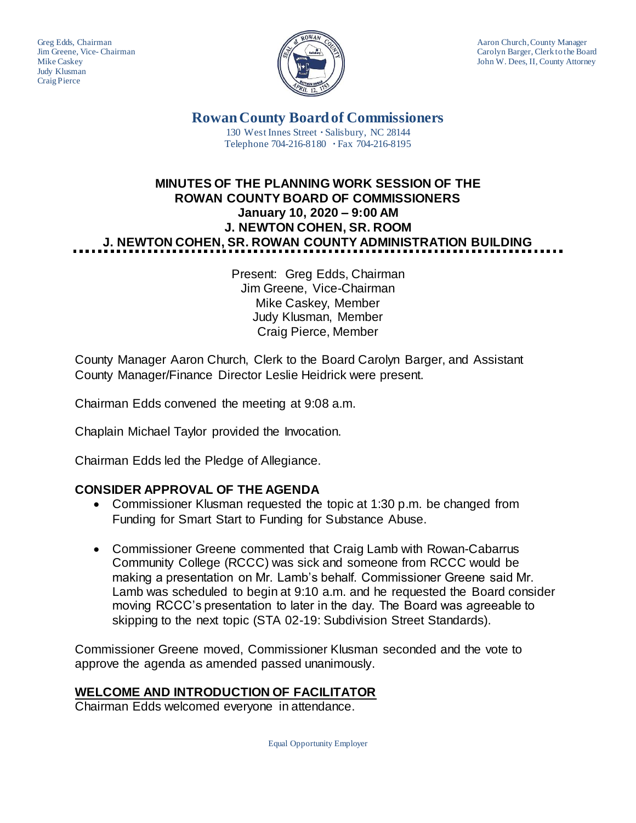Judy Klusman Craig Pierce



Greg Edds, Chairman Aaron Church, County Manager<br>Jim Greene, Vice-Chairman Aaron Church, County Manager and Aaron Church, County Manager Jim Greene, Vice- Chairman Carolyn Barger, Clerk to the Board Mike Caskev John W. Dees, II, County Attorney John W. Dees, II, County Attorney

> **Rowan County Board of Commissioners** 130 West Innes Street **∙** Salisbury, NC 28144 Telephone 704-216-8180 **∙** Fax 704-216-8195

# **MINUTES OF THE PLANNING WORK SESSION OF THE ROWAN COUNTY BOARD OF COMMISSIONERS January 10, 2020 – 9:00 AM J. NEWTON COHEN, SR. ROOM J. NEWTON COHEN, SR. ROWAN COUNTY ADMINISTRATION BUILDING**

Present: Greg Edds, Chairman Jim Greene, Vice-Chairman Mike Caskey, Member Judy Klusman, Member Craig Pierce, Member

County Manager Aaron Church, Clerk to the Board Carolyn Barger, and Assistant County Manager/Finance Director Leslie Heidrick were present.

Chairman Edds convened the meeting at 9:08 a.m.

Chaplain Michael Taylor provided the Invocation.

Chairman Edds led the Pledge of Allegiance.

## **CONSIDER APPROVAL OF THE AGENDA**

- Commissioner Klusman requested the topic at 1:30 p.m. be changed from Funding for Smart Start to Funding for Substance Abuse.
- Commissioner Greene commented that Craig Lamb with Rowan-Cabarrus Community College (RCCC) was sick and someone from RCCC would be making a presentation on Mr. Lamb's behalf. Commissioner Greene said Mr. Lamb was scheduled to begin at 9:10 a.m. and he requested the Board consider moving RCCC's presentation to later in the day. The Board was agreeable to skipping to the next topic (STA 02-19: Subdivision Street Standards).

Commissioner Greene moved, Commissioner Klusman seconded and the vote to approve the agenda as amended passed unanimously.

### **WELCOME AND INTRODUCTION OF FACILITATOR**

Chairman Edds welcomed everyone in attendance.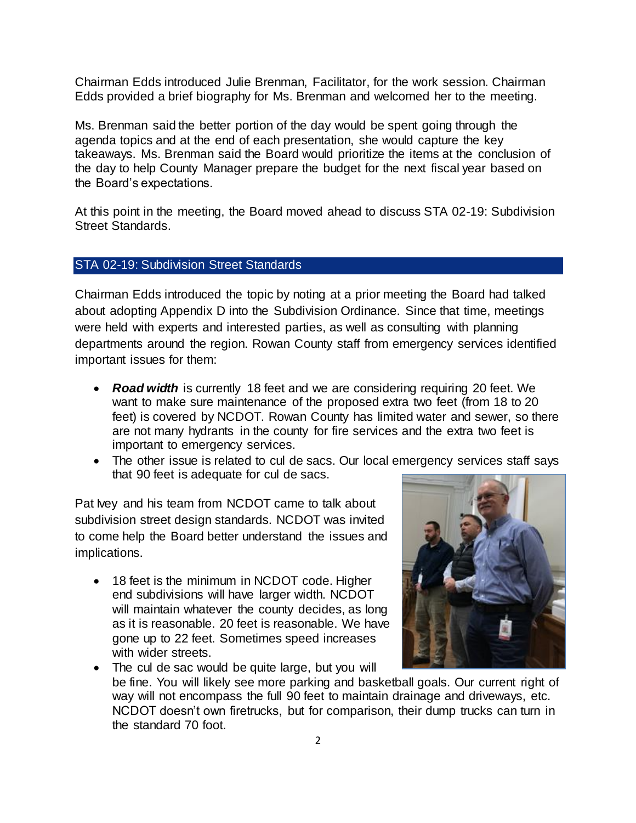Chairman Edds introduced Julie Brenman, Facilitator, for the work session. Chairman Edds provided a brief biography for Ms. Brenman and welcomed her to the meeting.

Ms. Brenman said the better portion of the day would be spent going through the agenda topics and at the end of each presentation, she would capture the key takeaways. Ms. Brenman said the Board would prioritize the items at the conclusion of the day to help County Manager prepare the budget for the next fiscal year based on the Board's expectations.

At this point in the meeting, the Board moved ahead to discuss STA 02-19: Subdivision Street Standards.

### STA 02-19: Subdivision Street Standards

Chairman Edds introduced the topic by noting at a prior meeting the Board had talked about adopting Appendix D into the Subdivision Ordinance. Since that time, meetings were held with experts and interested parties, as well as consulting with planning departments around the region. Rowan County staff from emergency services identified important issues for them:

- **Road width** is currently 18 feet and we are considering requiring 20 feet. We want to make sure maintenance of the proposed extra two feet (from 18 to 20 feet) is covered by NCDOT. Rowan County has limited water and sewer, so there are not many hydrants in the county for fire services and the extra two feet is important to emergency services.
- The other issue is related to cul de sacs. Our local emergency services staff says that 90 feet is adequate for cul de sacs.

Pat Ivey and his team from NCDOT came to talk about subdivision street design standards. NCDOT was invited to come help the Board better understand the issues and implications.

• 18 feet is the minimum in NCDOT code. Higher end subdivisions will have larger width. NCDOT will maintain whatever the county decides, as long as it is reasonable. 20 feet is reasonable. We have gone up to 22 feet. Sometimes speed increases with wider streets.



• The cul de sac would be quite large, but you will be fine. You will likely see more parking and basketball goals. Our current right of way will not encompass the full 90 feet to maintain drainage and driveways, etc. NCDOT doesn't own firetrucks, but for comparison, their dump trucks can turn in the standard 70 foot.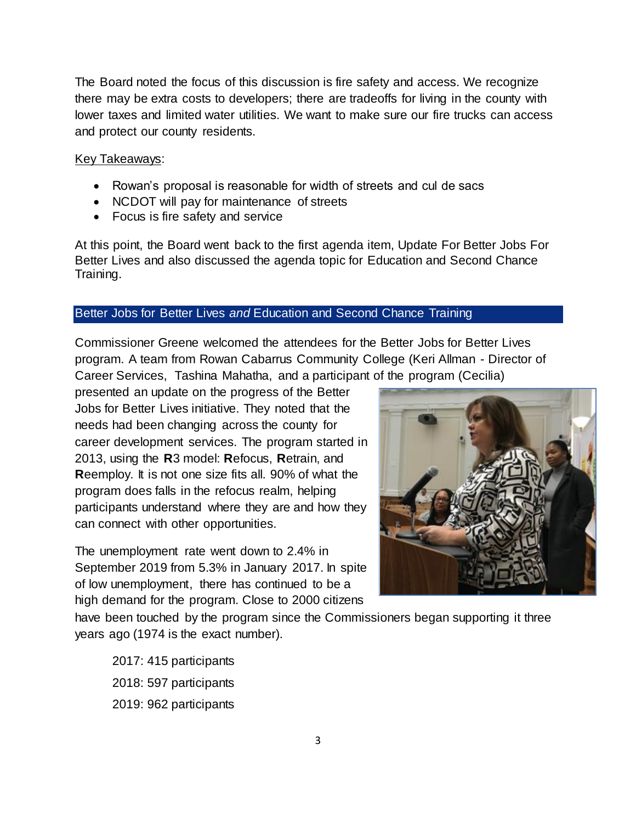The Board noted the focus of this discussion is fire safety and access. We recognize there may be extra costs to developers; there are tradeoffs for living in the county with lower taxes and limited water utilities. We want to make sure our fire trucks can access and protect our county residents.

#### Key Takeaways:

- Rowan's proposal is reasonable for width of streets and cul de sacs
- NCDOT will pay for maintenance of streets
- Focus is fire safety and service

At this point, the Board went back to the first agenda item, Update For Better Jobs For Better Lives and also discussed the agenda topic for Education and Second Chance Training.

#### Better Jobs for Better Lives *and* Education and Second Chance Training

Commissioner Greene welcomed the attendees for the Better Jobs for Better Lives program. A team from Rowan Cabarrus Community College (Keri Allman - Director of Career Services, Tashina Mahatha, and a participant of the program (Cecilia)

presented an update on the progress of the Better Jobs for Better Lives initiative. They noted that the needs had been changing across the county for career development services. The program started in 2013, using the **R**3 model: **R**efocus, **R**etrain, and **R**eemploy. It is not one size fits all. 90% of what the program does falls in the refocus realm, helping participants understand where they are and how they can connect with other opportunities.

The unemployment rate went down to 2.4% in September 2019 from 5.3% in January 2017. In spite of low unemployment, there has continued to be a high demand for the program. Close to 2000 citizens



have been touched by the program since the Commissioners began supporting it three years ago (1974 is the exact number).

2017: 415 participants 2018: 597 participants 2019: 962 participants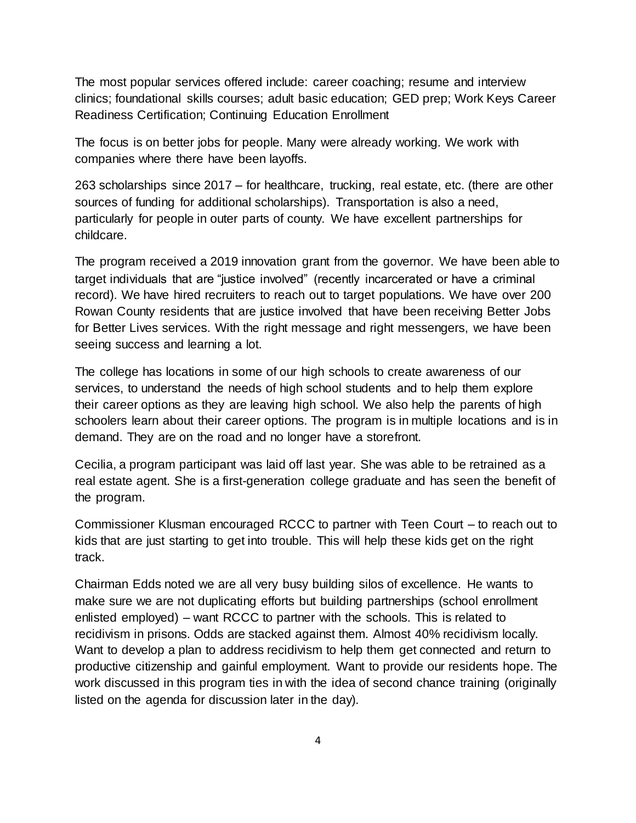The most popular services offered include: career coaching; resume and interview clinics; foundational skills courses; adult basic education; GED prep; Work Keys Career Readiness Certification; Continuing Education Enrollment

The focus is on better jobs for people. Many were already working. We work with companies where there have been layoffs.

263 scholarships since 2017 – for healthcare, trucking, real estate, etc. (there are other sources of funding for additional scholarships). Transportation is also a need, particularly for people in outer parts of county. We have excellent partnerships for childcare.

The program received a 2019 innovation grant from the governor. We have been able to target individuals that are "justice involved" (recently incarcerated or have a criminal record). We have hired recruiters to reach out to target populations. We have over 200 Rowan County residents that are justice involved that have been receiving Better Jobs for Better Lives services. With the right message and right messengers, we have been seeing success and learning a lot.

The college has locations in some of our high schools to create awareness of our services, to understand the needs of high school students and to help them explore their career options as they are leaving high school. We also help the parents of high schoolers learn about their career options. The program is in multiple locations and is in demand. They are on the road and no longer have a storefront.

Cecilia, a program participant was laid off last year. She was able to be retrained as a real estate agent. She is a first-generation college graduate and has seen the benefit of the program.

Commissioner Klusman encouraged RCCC to partner with Teen Court – to reach out to kids that are just starting to get into trouble. This will help these kids get on the right track.

Chairman Edds noted we are all very busy building silos of excellence. He wants to make sure we are not duplicating efforts but building partnerships (school enrollment enlisted employed) – want RCCC to partner with the schools. This is related to recidivism in prisons. Odds are stacked against them. Almost 40% recidivism locally. Want to develop a plan to address recidivism to help them get connected and return to productive citizenship and gainful employment. Want to provide our residents hope. The work discussed in this program ties in with the idea of second chance training (originally listed on the agenda for discussion later in the day).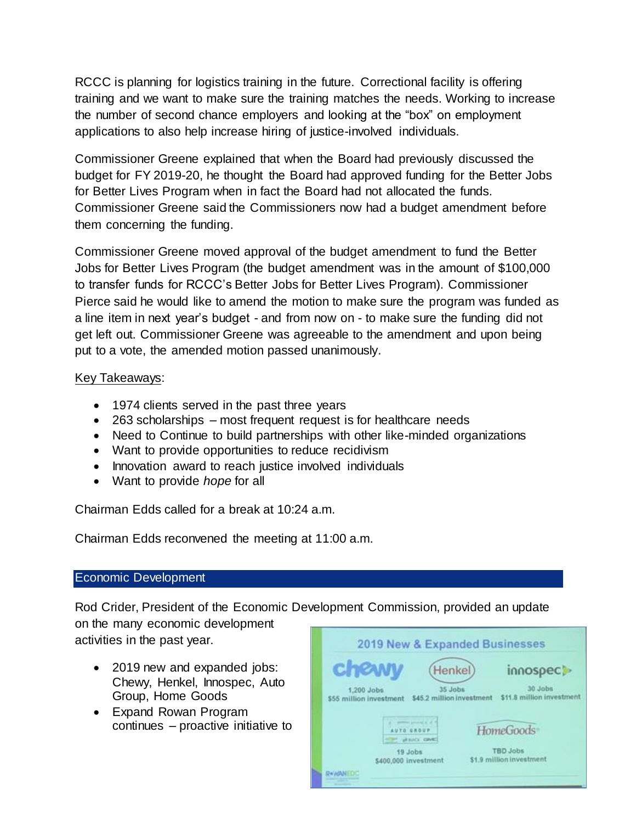RCCC is planning for logistics training in the future. Correctional facility is offering training and we want to make sure the training matches the needs. Working to increase the number of second chance employers and looking at the "box" on employment applications to also help increase hiring of justice-involved individuals.

Commissioner Greene explained that when the Board had previously discussed the budget for FY 2019-20, he thought the Board had approved funding for the Better Jobs for Better Lives Program when in fact the Board had not allocated the funds. Commissioner Greene said the Commissioners now had a budget amendment before them concerning the funding.

Commissioner Greene moved approval of the budget amendment to fund the Better Jobs for Better Lives Program (the budget amendment was in the amount of \$100,000 to transfer funds for RCCC's Better Jobs for Better Lives Program). Commissioner Pierce said he would like to amend the motion to make sure the program was funded as a line item in next year's budget - and from now on - to make sure the funding did not get left out. Commissioner Greene was agreeable to the amendment and upon being put to a vote, the amended motion passed unanimously.

## Key Takeaways:

- 1974 clients served in the past three years
- 263 scholarships most frequent request is for healthcare needs
- Need to Continue to build partnerships with other like-minded organizations
- Want to provide opportunities to reduce recidivism
- Innovation award to reach justice involved individuals
- Want to provide *hope* for all

Chairman Edds called for a break at 10:24 a.m.

Chairman Edds reconvened the meeting at 11:00 a.m.

### Economic Development

Rod Crider, President of the Economic Development Commission, provided an update on the many economic development

activities in the past year.

- 2019 new and expanded jobs: Chewy, Henkel, Innospec, Auto Group, Home Goods
- Expand Rowan Program continues – proactive initiative to

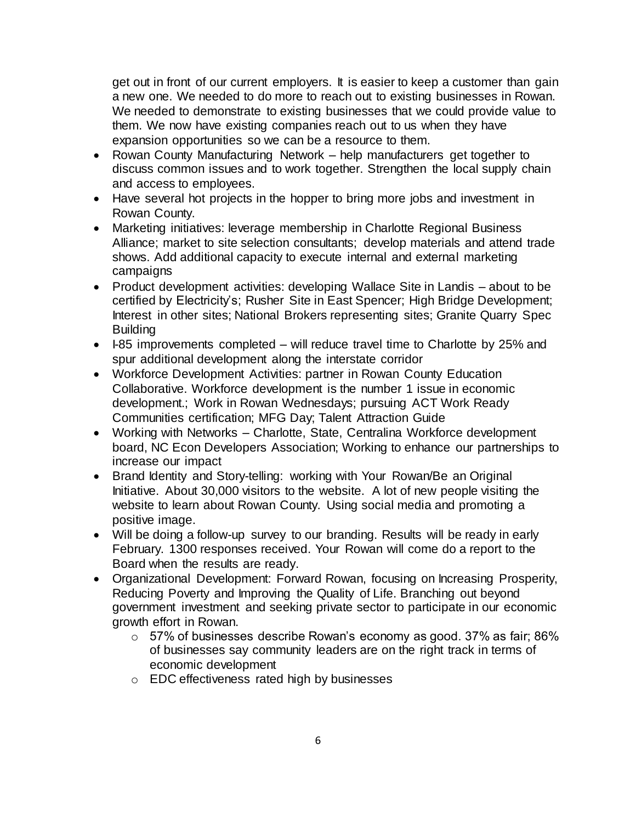get out in front of our current employers. It is easier to keep a customer than gain a new one. We needed to do more to reach out to existing businesses in Rowan. We needed to demonstrate to existing businesses that we could provide value to them. We now have existing companies reach out to us when they have expansion opportunities so we can be a resource to them.

- Rowan County Manufacturing Network help manufacturers get together to discuss common issues and to work together. Strengthen the local supply chain and access to employees.
- Have several hot projects in the hopper to bring more jobs and investment in Rowan County.
- Marketing initiatives: leverage membership in Charlotte Regional Business Alliance; market to site selection consultants; develop materials and attend trade shows. Add additional capacity to execute internal and external marketing campaigns
- Product development activities: developing Wallace Site in Landis about to be certified by Electricity's; Rusher Site in East Spencer; High Bridge Development; Interest in other sites; National Brokers representing sites; Granite Quarry Spec **Building**
- I-85 improvements completed will reduce travel time to Charlotte by 25% and spur additional development along the interstate corridor
- Workforce Development Activities: partner in Rowan County Education Collaborative. Workforce development is the number 1 issue in economic development.; Work in Rowan Wednesdays; pursuing ACT Work Ready Communities certification; MFG Day; Talent Attraction Guide
- Working with Networks Charlotte, State, Centralina Workforce development board, NC Econ Developers Association; Working to enhance our partnerships to increase our impact
- Brand Identity and Story-telling: working with Your Rowan/Be an Original Initiative. About 30,000 visitors to the website. A lot of new people visiting the website to learn about Rowan County. Using social media and promoting a positive image.
- Will be doing a follow-up survey to our branding. Results will be ready in early February. 1300 responses received. Your Rowan will come do a report to the Board when the results are ready.
- Organizational Development: Forward Rowan, focusing on Increasing Prosperity, Reducing Poverty and Improving the Quality of Life. Branching out beyond government investment and seeking private sector to participate in our economic growth effort in Rowan.
	- $\circ$  57% of businesses describe Rowan's economy as good. 37% as fair; 86% of businesses say community leaders are on the right track in terms of economic development
	- o EDC effectiveness rated high by businesses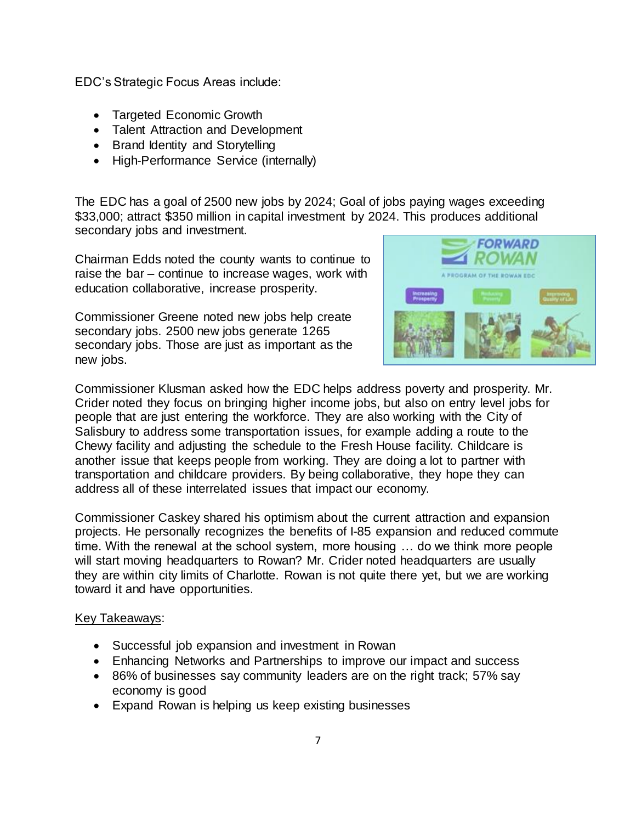EDC's Strategic Focus Areas include:

- Targeted Economic Growth
- Talent Attraction and Development
- Brand Identity and Storytelling
- High-Performance Service (internally)

The EDC has a goal of 2500 new jobs by 2024; Goal of jobs paying wages exceeding \$33,000; attract \$350 million in capital investment by 2024. This produces additional secondary jobs and investment.

Chairman Edds noted the county wants to continue to raise the bar – continue to increase wages, work with education collaborative, increase prosperity.

Commissioner Greene noted new jobs help create secondary jobs. 2500 new jobs generate 1265 secondary jobs. Those are just as important as the new jobs.



Commissioner Klusman asked how the EDC helps address poverty and prosperity. Mr. Crider noted they focus on bringing higher income jobs, but also on entry level jobs for people that are just entering the workforce. They are also working with the City of Salisbury to address some transportation issues, for example adding a route to the Chewy facility and adjusting the schedule to the Fresh House facility. Childcare is another issue that keeps people from working. They are doing a lot to partner with transportation and childcare providers. By being collaborative, they hope they can address all of these interrelated issues that impact our economy.

Commissioner Caskey shared his optimism about the current attraction and expansion projects. He personally recognizes the benefits of I-85 expansion and reduced commute time. With the renewal at the school system, more housing … do we think more people will start moving headquarters to Rowan? Mr. Crider noted headquarters are usually they are within city limits of Charlotte. Rowan is not quite there yet, but we are working toward it and have opportunities.

### Key Takeaways:

- Successful job expansion and investment in Rowan
- Enhancing Networks and Partnerships to improve our impact and success
- 86% of businesses say community leaders are on the right track; 57% say economy is good
- Expand Rowan is helping us keep existing businesses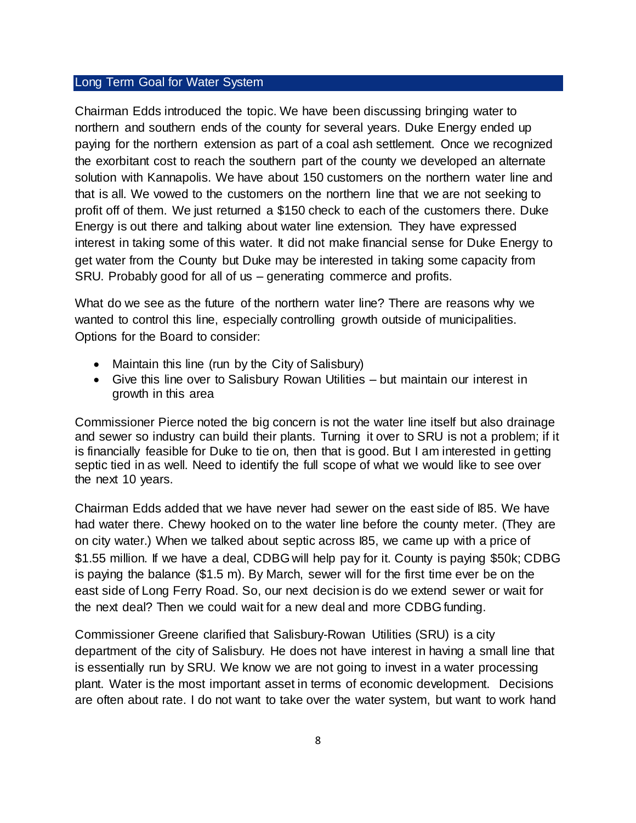#### Long Term Goal for Water System

Chairman Edds introduced the topic. We have been discussing bringing water to northern and southern ends of the county for several years. Duke Energy ended up paying for the northern extension as part of a coal ash settlement. Once we recognized the exorbitant cost to reach the southern part of the county we developed an alternate solution with Kannapolis. We have about 150 customers on the northern water line and that is all. We vowed to the customers on the northern line that we are not seeking to profit off of them. We just returned a \$150 check to each of the customers there. Duke Energy is out there and talking about water line extension. They have expressed interest in taking some of this water. It did not make financial sense for Duke Energy to get water from the County but Duke may be interested in taking some capacity from SRU. Probably good for all of us – generating commerce and profits.

What do we see as the future of the northern water line? There are reasons why we wanted to control this line, especially controlling growth outside of municipalities. Options for the Board to consider:

- Maintain this line (run by the City of Salisbury)
- Give this line over to Salisbury Rowan Utilities but maintain our interest in growth in this area

Commissioner Pierce noted the big concern is not the water line itself but also drainage and sewer so industry can build their plants. Turning it over to SRU is not a problem; if it is financially feasible for Duke to tie on, then that is good. But I am interested in getting septic tied in as well. Need to identify the full scope of what we would like to see over the next 10 years.

Chairman Edds added that we have never had sewer on the east side of I85. We have had water there. Chewy hooked on to the water line before the county meter. (They are on city water.) When we talked about septic across I85, we came up with a price of \$1.55 million. If we have a deal, CDBG will help pay for it. County is paying \$50k; CDBG is paying the balance (\$1.5 m). By March, sewer will for the first time ever be on the east side of Long Ferry Road. So, our next decision is do we extend sewer or wait for the next deal? Then we could wait for a new deal and more CDBG funding.

Commissioner Greene clarified that Salisbury-Rowan Utilities (SRU) is a city department of the city of Salisbury. He does not have interest in having a small line that is essentially run by SRU. We know we are not going to invest in a water processing plant. Water is the most important asset in terms of economic development. Decisions are often about rate. I do not want to take over the water system, but want to work hand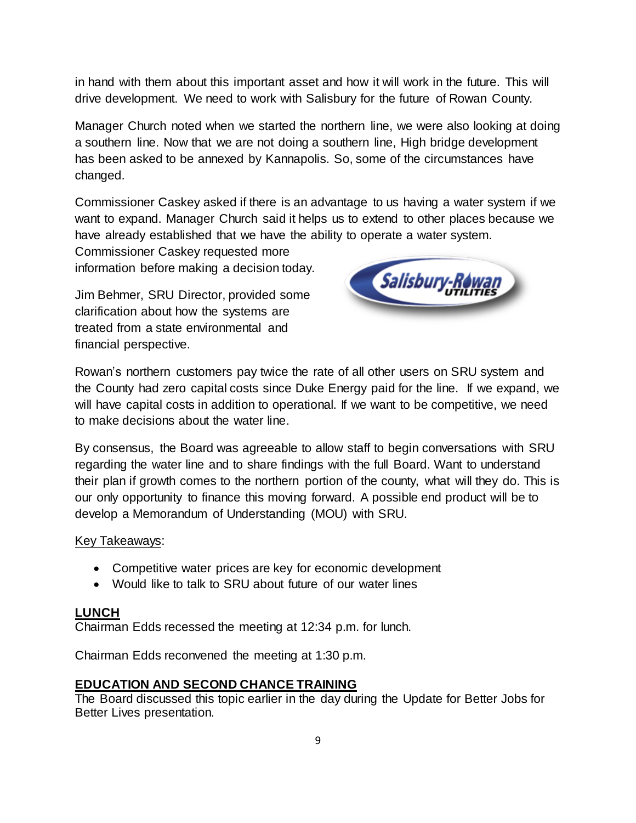in hand with them about this important asset and how it will work in the future. This will drive development. We need to work with Salisbury for the future of Rowan County.

Manager Church noted when we started the northern line, we were also looking at doing a southern line. Now that we are not doing a southern line, High bridge development has been asked to be annexed by Kannapolis. So, some of the circumstances have changed.

Commissioner Caskey asked if there is an advantage to us having a water system if we want to expand. Manager Church said it helps us to extend to other places because we have already established that we have the ability to operate a water system.

Commissioner Caskey requested more information before making a decision today.

Jim Behmer, SRU Director, provided some clarification about how the systems are treated from a state environmental and financial perspective.



Rowan's northern customers pay twice the rate of all other users on SRU system and the County had zero capital costs since Duke Energy paid for the line. If we expand, we will have capital costs in addition to operational. If we want to be competitive, we need to make decisions about the water line.

By consensus, the Board was agreeable to allow staff to begin conversations with SRU regarding the water line and to share findings with the full Board. Want to understand their plan if growth comes to the northern portion of the county, what will they do. This is our only opportunity to finance this moving forward. A possible end product will be to develop a Memorandum of Understanding (MOU) with SRU.

### Key Takeaways:

- Competitive water prices are key for economic development
- Would like to talk to SRU about future of our water lines

### **LUNCH**

Chairman Edds recessed the meeting at 12:34 p.m. for lunch.

Chairman Edds reconvened the meeting at 1:30 p.m.

### **EDUCATION AND SECOND CHANCE TRAINING**

The Board discussed this topic earlier in the day during the Update for Better Jobs for Better Lives presentation.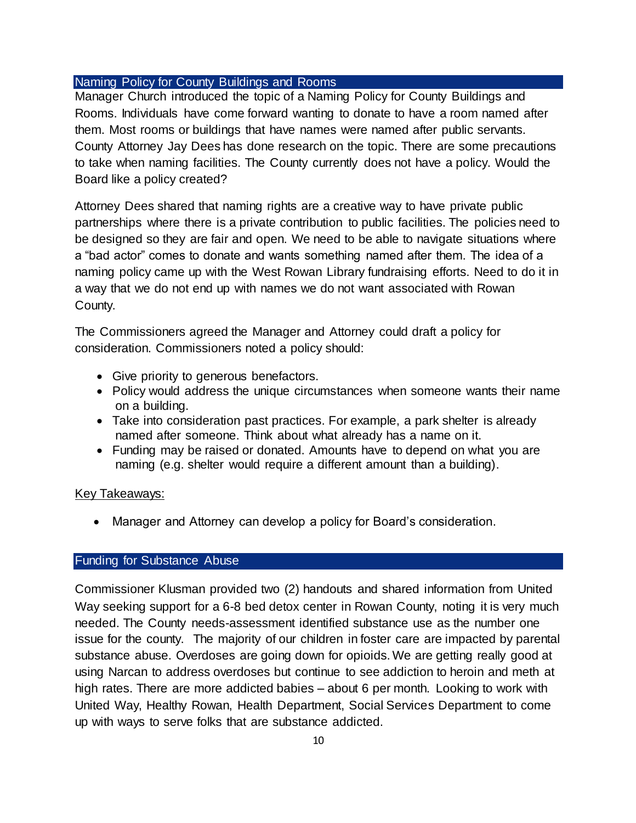#### Naming Policy for County Buildings and Rooms

Manager Church introduced the topic of a Naming Policy for County Buildings and Rooms. Individuals have come forward wanting to donate to have a room named after them. Most rooms or buildings that have names were named after public servants. County Attorney Jay Dees has done research on the topic. There are some precautions to take when naming facilities. The County currently does not have a policy. Would the Board like a policy created?

Attorney Dees shared that naming rights are a creative way to have private public partnerships where there is a private contribution to public facilities. The policies need to be designed so they are fair and open. We need to be able to navigate situations where a "bad actor" comes to donate and wants something named after them. The idea of a naming policy came up with the West Rowan Library fundraising efforts. Need to do it in a way that we do not end up with names we do not want associated with Rowan County.

The Commissioners agreed the Manager and Attorney could draft a policy for consideration. Commissioners noted a policy should:

- Give priority to generous benefactors.
- Policy would address the unique circumstances when someone wants their name on a building.
- Take into consideration past practices. For example, a park shelter is already named after someone. Think about what already has a name on it.
- Funding may be raised or donated. Amounts have to depend on what you are naming (e.g. shelter would require a different amount than a building).

### Key Takeaways:

• Manager and Attorney can develop a policy for Board's consideration.

### Funding for Substance Abuse

Commissioner Klusman provided two (2) handouts and shared information from United Way seeking support for a 6-8 bed detox center in Rowan County, noting it is very much needed. The County needs-assessment identified substance use as the number one issue for the county. The majority of our children in foster care are impacted by parental substance abuse. Overdoses are going down for opioids. We are getting really good at using Narcan to address overdoses but continue to see addiction to heroin and meth at high rates. There are more addicted babies – about 6 per month. Looking to work with United Way, Healthy Rowan, Health Department, Social Services Department to come up with ways to serve folks that are substance addicted.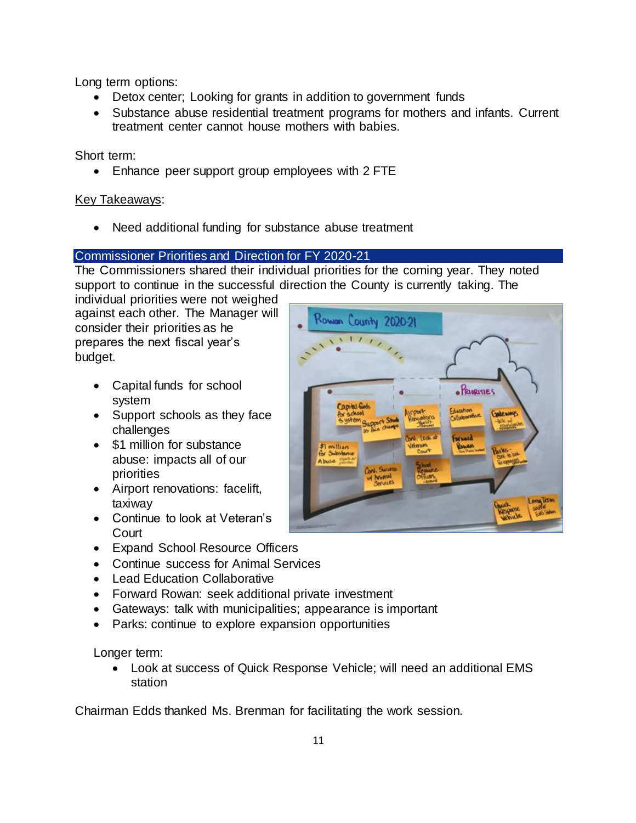Long term options:

- Detox center; Looking for grants in addition to government funds
- Substance abuse residential treatment programs for mothers and infants. Current treatment center cannot house mothers with babies.

Short term:

• Enhance peer support group employees with 2 FTE

## Key Takeaways:

Need additional funding for substance abuse treatment

## Commissioner Priorities and Direction for FY 2020-21

The Commissioners shared their individual priorities for the coming year. They noted support to continue in the successful direction the County is currently taking. The

individual priorities were not weighed against each other. The Manager will consider their priorities as he prepares the next fiscal year's budget.

- Capital funds for school system
- Support schools as they face challenges
- \$1 million for substance abuse: impacts all of our priorities
- Airport renovations: facelift, taxiway
- Continue to look at Veteran's **Court**
- Expand School Resource Officers
- Continue success for Animal Services
- Lead Education Collaborative
- Forward Rowan: seek additional private investment
- Gateways: talk with municipalities; appearance is important
- Parks: continue to explore expansion opportunities

Longer term:

• Look at success of Quick Response Vehicle; will need an additional EMS station

Chairman Edds thanked Ms. Brenman for facilitating the work session.

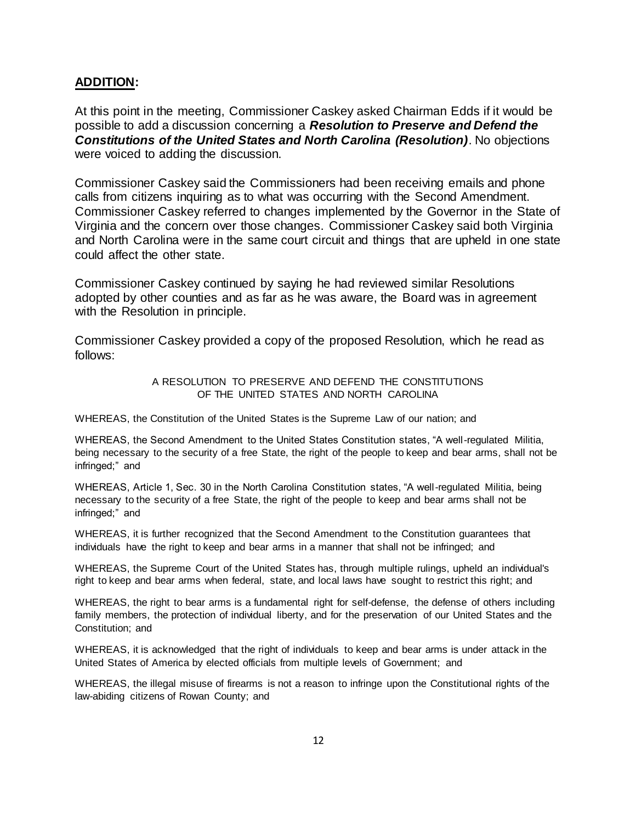#### **ADDITION:**

At this point in the meeting, Commissioner Caskey asked Chairman Edds if it would be possible to add a discussion concerning a *Resolution to Preserve and Defend the Constitutions of the United States and North Carolina (Resolution)*. No objections were voiced to adding the discussion.

Commissioner Caskey said the Commissioners had been receiving emails and phone calls from citizens inquiring as to what was occurring with the Second Amendment. Commissioner Caskey referred to changes implemented by the Governor in the State of Virginia and the concern over those changes. Commissioner Caskey said both Virginia and North Carolina were in the same court circuit and things that are upheld in one state could affect the other state.

Commissioner Caskey continued by saying he had reviewed similar Resolutions adopted by other counties and as far as he was aware, the Board was in agreement with the Resolution in principle.

Commissioner Caskey provided a copy of the proposed Resolution, which he read as follows:

> A RESOLUTION TO PRESERVE AND DEFEND THE CONSTITUTIONS OF THE UNITED STATES AND NORTH CAROLINA

WHEREAS, the Constitution of the United States is the Supreme Law of our nation; and

WHEREAS, the Second Amendment to the United States Constitution states, "A well-regulated Militia, being necessary to the security of a free State, the right of the people to keep and bear arms, shall not be infringed;" and

WHEREAS, Article 1, Sec. 30 in the North Carolina Constitution states, "A well-regulated Militia, being necessary to the security of a free State, the right of the people to keep and bear arms shall not be infringed;" and

WHEREAS, it is further recognized that the Second Amendment to the Constitution guarantees that individuals have the right to keep and bear arms in a manner that shall not be infringed; and

WHEREAS, the Supreme Court of the United States has, through multiple rulings, upheld an individual's right to keep and bear arms when federal, state, and local laws have sought to restrict this right; and

WHEREAS, the right to bear arms is a fundamental right for self-defense, the defense of others including family members, the protection of individual liberty, and for the preservation of our United States and the Constitution; and

WHEREAS, it is acknowledged that the right of individuals to keep and bear arms is under attack in the United States of America by elected officials from multiple levels of Government; and

WHEREAS, the illegal misuse of firearms is not a reason to infringe upon the Constitutional rights of the law-abiding citizens of Rowan County; and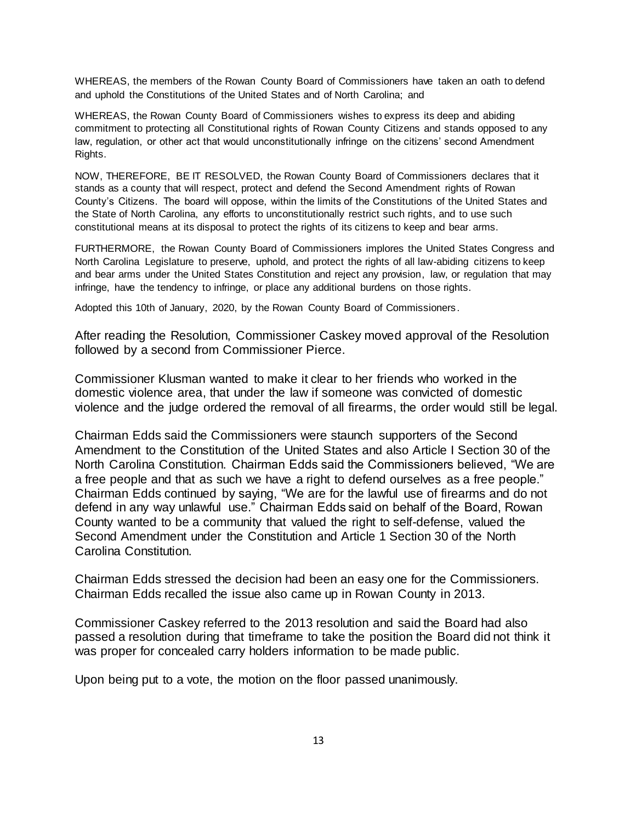WHEREAS, the members of the Rowan County Board of Commissioners have taken an oath to defend and uphold the Constitutions of the United States and of North Carolina; and

WHEREAS, the Rowan County Board of Commissioners wishes to express its deep and abiding commitment to protecting all Constitutional rights of Rowan County Citizens and stands opposed to any law, regulation, or other act that would unconstitutionally infringe on the citizens' second Amendment Rights.

NOW, THEREFORE, BE IT RESOLVED, the Rowan County Board of Commissioners declares that it stands as a county that will respect, protect and defend the Second Amendment rights of Rowan County's Citizens. The board will oppose, within the limits of the Constitutions of the United States and the State of North Carolina, any efforts to unconstitutionally restrict such rights, and to use such constitutional means at its disposal to protect the rights of its citizens to keep and bear arms.

FURTHERMORE, the Rowan County Board of Commissioners implores the United States Congress and North Carolina Legislature to preserve, uphold, and protect the rights of all law-abiding citizens to keep and bear arms under the United States Constitution and reject any provision, law, or regulation that may infringe, have the tendency to infringe, or place any additional burdens on those rights.

Adopted this 10th of January, 2020, by the Rowan County Board of Commissioners .

After reading the Resolution, Commissioner Caskey moved approval of the Resolution followed by a second from Commissioner Pierce.

Commissioner Klusman wanted to make it clear to her friends who worked in the domestic violence area, that under the law if someone was convicted of domestic violence and the judge ordered the removal of all firearms, the order would still be legal.

Chairman Edds said the Commissioners were staunch supporters of the Second Amendment to the Constitution of the United States and also Article I Section 30 of the North Carolina Constitution. Chairman Edds said the Commissioners believed, "We are a free people and that as such we have a right to defend ourselves as a free people." Chairman Edds continued by saying, "We are for the lawful use of firearms and do not defend in any way unlawful use." Chairman Edds said on behalf of the Board, Rowan County wanted to be a community that valued the right to self-defense, valued the Second Amendment under the Constitution and Article 1 Section 30 of the North Carolina Constitution.

Chairman Edds stressed the decision had been an easy one for the Commissioners. Chairman Edds recalled the issue also came up in Rowan County in 2013.

Commissioner Caskey referred to the 2013 resolution and said the Board had also passed a resolution during that timeframe to take the position the Board did not think it was proper for concealed carry holders information to be made public.

Upon being put to a vote, the motion on the floor passed unanimously.